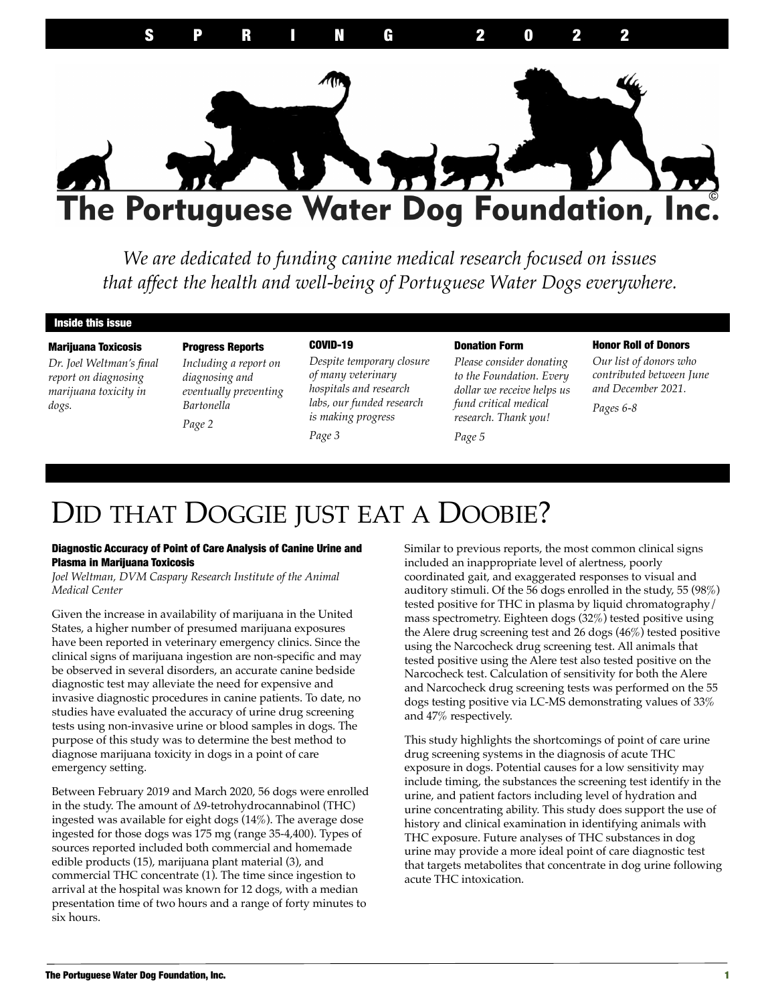

*We are dedicated to funding canine medical research focused on issues that affect the health and well-being of Portuguese Water Dogs everywhere.*

#### Inside this issue

#### Marijuana Toxicosis

*Dr. Joel Weltman's final report on diagnosing marijuana toxicity in dogs.*

### Progress Reports *Including a report on diagnosing and eventually preventing Bartonella*

*Page 2*

### COVID-19

*Despite temporary closure of many veterinary hospitals and research labs, our funded research is making progress* 

#### *Page 3*

#### Donation Form

*Please consider donating to the Foundation. Every dollar we receive helps us fund critical medical research. Thank you!* 

*Page 5*

#### Honor Roll of Donors

*Our list of donors who contributed between June and December 2021.*

*Pages 6-8*

### DID THAT DOGGIE JUST EAT A DOOBIE?

#### Diagnostic Accuracy of Point of Care Analysis of Canine Urine and Plasma in Marijuana Toxicosis

*Joel Weltman, DVM Caspary Research Institute of the Animal Medical Center* 

Given the increase in availability of marijuana in the United States, a higher number of presumed marijuana exposures have been reported in veterinary emergency clinics. Since the clinical signs of marijuana ingestion are non-specific and may be observed in several disorders, an accurate canine bedside diagnostic test may alleviate the need for expensive and invasive diagnostic procedures in canine patients. To date, no studies have evaluated the accuracy of urine drug screening tests using non-invasive urine or blood samples in dogs. The purpose of this study was to determine the best method to diagnose marijuana toxicity in dogs in a point of care emergency setting.

Between February 2019 and March 2020, 56 dogs were enrolled in the study. The amount of ∆9-tetrohydrocannabinol (THC) ingested was available for eight dogs (14%). The average dose ingested for those dogs was 175 mg (range 35-4,400). Types of sources reported included both commercial and homemade edible products (15), marijuana plant material (3), and commercial THC concentrate (1). The time since ingestion to arrival at the hospital was known for 12 dogs, with a median presentation time of two hours and a range of forty minutes to six hours.

Similar to previous reports, the most common clinical signs included an inappropriate level of alertness, poorly coordinated gait, and exaggerated responses to visual and auditory stimuli. Of the 56 dogs enrolled in the study, 55 (98%) tested positive for THC in plasma by liquid chromatography/ mass spectrometry. Eighteen dogs (32%) tested positive using the Alere drug screening test and 26 dogs (46%) tested positive using the Narcocheck drug screening test. All animals that tested positive using the Alere test also tested positive on the Narcocheck test. Calculation of sensitivity for both the Alere and Narcocheck drug screening tests was performed on the 55 dogs testing positive via LC-MS demonstrating values of 33% and 47% respectively.

This study highlights the shortcomings of point of care urine drug screening systems in the diagnosis of acute THC exposure in dogs. Potential causes for a low sensitivity may include timing, the substances the screening test identify in the urine, and patient factors including level of hydration and urine concentrating ability. This study does support the use of history and clinical examination in identifying animals with THC exposure. Future analyses of THC substances in dog urine may provide a more ideal point of care diagnostic test that targets metabolites that concentrate in dog urine following acute THC intoxication.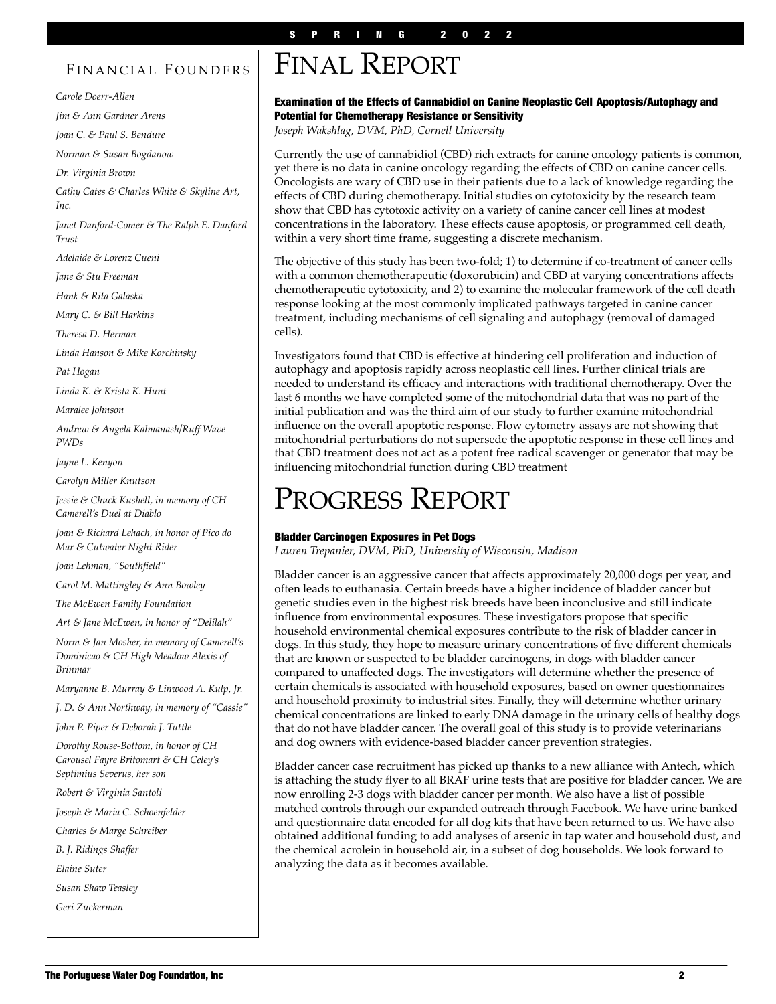### FINANCIAL FOUNDERS

*Carole Doerr-Allen*

*Jim & Ann Gardner Arens*

*Joan C. & Paul S. Bendure*

*Norman & Susan Bogdanow*

*Dr. Virginia Brown*

*Cathy Cates & Charles White & Skyline Art, Inc.*

*Janet Danford-Comer & The Ralph E. Danford Trust*

*Adelaide & Lorenz Cueni*

*Jane & Stu Freeman*

*Hank & Rita Galaska*

*Mary C. & Bill Harkins*

*Theresa D. Herman*

*Linda Hanson & Mike Korchinsky*

*Pat Hogan*

*Linda K. & Krista K. Hunt*

*Maralee Johnson*

*Andrew & Angela Kalmanash/Ruff Wave PWDs*

*Jayne L. Kenyon*

*Carolyn Miller Knutson*

*Jessie & Chuck Kushell, in memory of CH Camerell's Duel at Diablo*

*Joan & Richard Lehach, in honor of Pico do Mar & Cutwater Night Rider*

*Joan Lehman, "Southfield"*

*Carol M. Mattingley & Ann Bowley*

*The McEwen Family Foundation*

*Art & Jane McEwen, in honor of "Delilah"*

*Norm & Jan Mosher, in memory of Camerell's Dominicao & CH High Meadow Alexis of Brinmar*

*Maryanne B. Murray & Linwood A. Kulp, Jr.*

*J. D. & Ann Northway, in memory of "Cassie"*

*John P. Piper & Deborah J. Tuttle*

*Dorothy Rouse-Bottom, in honor of CH Carousel Fayre Britomart & CH Celey's Septimius Severus, her son*

*Robert & Virginia Santoli*

*Joseph & Maria C. Schoenfelder*

*Charles & Marge Schreiber*

*B. J. Ridings Shaffer*

*Elaine Suter*

*Susan Shaw Teasley*

*Geri Zuckerman* 

# FINAL REPORT

#### Examination of the Effects of Cannabidiol on Canine Neoplastic Cell Apoptosis/Autophagy and Potential for Chemotherapy Resistance or Sensitivity

*Joseph Wakshlag, DVM, PhD, Cornell University* 

Currently the use of cannabidiol (CBD) rich extracts for canine oncology patients is common, yet there is no data in canine oncology regarding the effects of CBD on canine cancer cells. Oncologists are wary of CBD use in their patients due to a lack of knowledge regarding the effects of CBD during chemotherapy. Initial studies on cytotoxicity by the research team show that CBD has cytotoxic activity on a variety of canine cancer cell lines at modest concentrations in the laboratory. These effects cause apoptosis, or programmed cell death, within a very short time frame, suggesting a discrete mechanism.

The objective of this study has been two-fold; 1) to determine if co-treatment of cancer cells with a common chemotherapeutic (doxorubicin) and CBD at varying concentrations affects chemotherapeutic cytotoxicity, and 2) to examine the molecular framework of the cell death response looking at the most commonly implicated pathways targeted in canine cancer treatment, including mechanisms of cell signaling and autophagy (removal of damaged cells).

Investigators found that CBD is effective at hindering cell proliferation and induction of autophagy and apoptosis rapidly across neoplastic cell lines. Further clinical trials are needed to understand its efficacy and interactions with traditional chemotherapy. Over the last 6 months we have completed some of the mitochondrial data that was no part of the initial publication and was the third aim of our study to further examine mitochondrial influence on the overall apoptotic response. Flow cytometry assays are not showing that mitochondrial perturbations do not supersede the apoptotic response in these cell lines and that CBD treatment does not act as a potent free radical scavenger or generator that may be influencing mitochondrial function during CBD treatment

### PROGRESS REPORT

#### Bladder Carcinogen Exposures in Pet Dogs

*Lauren Trepanier, DVM, PhD, University of Wisconsin, Madison* 

Bladder cancer is an aggressive cancer that affects approximately 20,000 dogs per year, and often leads to euthanasia. Certain breeds have a higher incidence of bladder cancer but genetic studies even in the highest risk breeds have been inconclusive and still indicate influence from environmental exposures. These investigators propose that specific household environmental chemical exposures contribute to the risk of bladder cancer in dogs. In this study, they hope to measure urinary concentrations of five different chemicals that are known or suspected to be bladder carcinogens, in dogs with bladder cancer compared to unaffected dogs. The investigators will determine whether the presence of certain chemicals is associated with household exposures, based on owner questionnaires and household proximity to industrial sites. Finally, they will determine whether urinary chemical concentrations are linked to early DNA damage in the urinary cells of healthy dogs that do not have bladder cancer. The overall goal of this study is to provide veterinarians and dog owners with evidence-based bladder cancer prevention strategies.

Bladder cancer case recruitment has picked up thanks to a new alliance with Antech, which is attaching the study flyer to all BRAF urine tests that are positive for bladder cancer. We are now enrolling 2-3 dogs with bladder cancer per month. We also have a list of possible matched controls through our expanded outreach through Facebook. We have urine banked and questionnaire data encoded for all dog kits that have been returned to us. We have also obtained additional funding to add analyses of arsenic in tap water and household dust, and the chemical acrolein in household air, in a subset of dog households. We look forward to analyzing the data as it becomes available.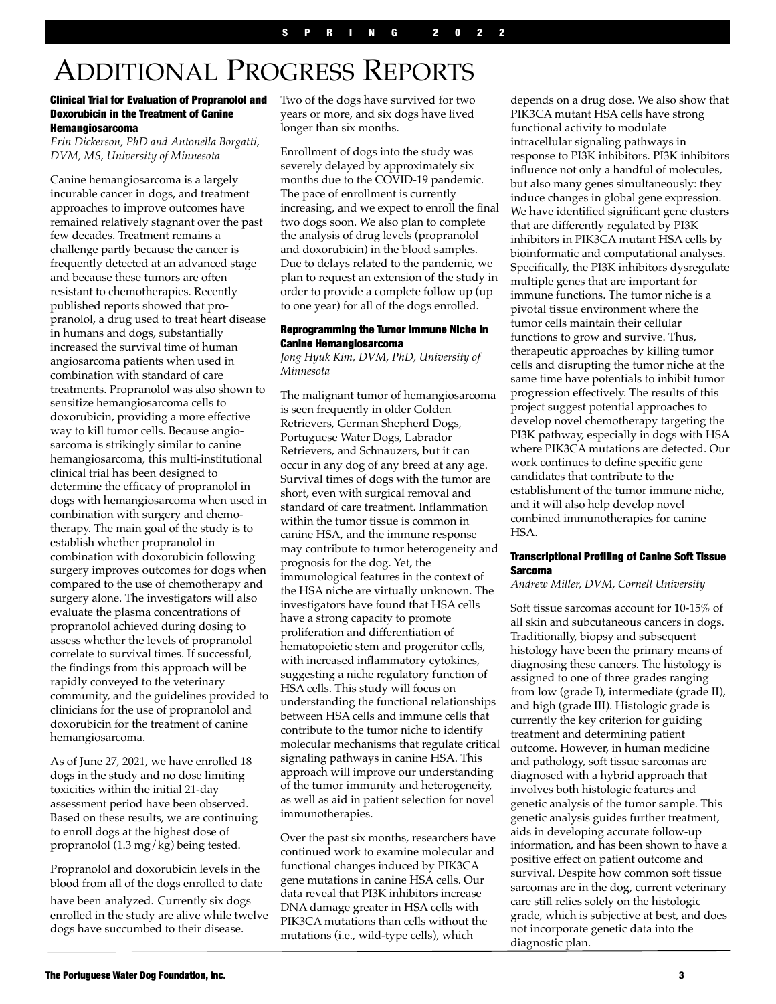# ADDITIONAL PROGRESS REPORTS

#### Clinical Trial for Evaluation of Propranolol and Doxorubicin in the Treatment of Canine Hemangiosarcoma

*Erin Dickerson, PhD and Antonella Borgatti, DVM, MS, University of Minnesota* 

Canine hemangiosarcoma is a largely incurable cancer in dogs, and treatment approaches to improve outcomes have remained relatively stagnant over the past few decades. Treatment remains a challenge partly because the cancer is frequently detected at an advanced stage and because these tumors are often resistant to chemotherapies. Recently published reports showed that propranolol, a drug used to treat heart disease in humans and dogs, substantially increased the survival time of human angiosarcoma patients when used in combination with standard of care treatments. Propranolol was also shown to sensitize hemangiosarcoma cells to doxorubicin, providing a more effective way to kill tumor cells. Because angiosarcoma is strikingly similar to canine hemangiosarcoma, this multi-institutional clinical trial has been designed to determine the efficacy of propranolol in dogs with hemangiosarcoma when used in combination with surgery and chemotherapy. The main goal of the study is to establish whether propranolol in combination with doxorubicin following surgery improves outcomes for dogs when compared to the use of chemotherapy and surgery alone. The investigators will also evaluate the plasma concentrations of propranolol achieved during dosing to assess whether the levels of propranolol correlate to survival times. If successful, the findings from this approach will be rapidly conveyed to the veterinary community, and the guidelines provided to clinicians for the use of propranolol and doxorubicin for the treatment of canine hemangiosarcoma.

As of June 27, 2021, we have enrolled 18 dogs in the study and no dose limiting toxicities within the initial 21-day assessment period have been observed. Based on these results, we are continuing to enroll dogs at the highest dose of propranolol (1.3 mg/kg) being tested.

Propranolol and doxorubicin levels in the blood from all of the dogs enrolled to date have been analyzed. Currently six dogs enrolled in the study are alive while twelve dogs have succumbed to their disease.

Two of the dogs have survived for two years or more, and six dogs have lived longer than six months.

Enrollment of dogs into the study was severely delayed by approximately six months due to the COVID-19 pandemic. The pace of enrollment is currently increasing, and we expect to enroll the final two dogs soon. We also plan to complete the analysis of drug levels (propranolol and doxorubicin) in the blood samples. Due to delays related to the pandemic, we plan to request an extension of the study in order to provide a complete follow up (up to one year) for all of the dogs enrolled.

#### Reprogramming the Tumor Immune Niche in Canine Hemangiosarcoma

*Jong Hyuk Kim, DVM, PhD, University of Minnesota* 

The malignant tumor of hemangiosarcoma is seen frequently in older Golden Retrievers, German Shepherd Dogs, Portuguese Water Dogs, Labrador Retrievers, and Schnauzers, but it can occur in any dog of any breed at any age. Survival times of dogs with the tumor are short, even with surgical removal and standard of care treatment. Inflammation within the tumor tissue is common in canine HSA, and the immune response may contribute to tumor heterogeneity and prognosis for the dog. Yet, the immunological features in the context of the HSA niche are virtually unknown. The investigators have found that HSA cells have a strong capacity to promote proliferation and differentiation of hematopoietic stem and progenitor cells, with increased inflammatory cytokines, suggesting a niche regulatory function of HSA cells. This study will focus on understanding the functional relationships between HSA cells and immune cells that contribute to the tumor niche to identify molecular mechanisms that regulate critical signaling pathways in canine HSA. This approach will improve our understanding of the tumor immunity and heterogeneity, as well as aid in patient selection for novel immunotherapies.

Over the past six months, researchers have continued work to examine molecular and functional changes induced by PIK3CA gene mutations in canine HSA cells. Our data reveal that PI3K inhibitors increase DNA damage greater in HSA cells with PIK3CA mutations than cells without the mutations (i.e., wild-type cells), which

depends on a drug dose. We also show that PIK3CA mutant HSA cells have strong functional activity to modulate intracellular signaling pathways in response to PI3K inhibitors. PI3K inhibitors influence not only a handful of molecules, but also many genes simultaneously: they induce changes in global gene expression. We have identified significant gene clusters that are differently regulated by PI3K inhibitors in PIK3CA mutant HSA cells by bioinformatic and computational analyses. Specifically, the PI3K inhibitors dysregulate multiple genes that are important for immune functions. The tumor niche is a pivotal tissue environment where the tumor cells maintain their cellular functions to grow and survive. Thus, therapeutic approaches by killing tumor cells and disrupting the tumor niche at the same time have potentials to inhibit tumor progression effectively. The results of this project suggest potential approaches to develop novel chemotherapy targeting the PI3K pathway, especially in dogs with HSA where PIK3CA mutations are detected. Our work continues to define specific gene candidates that contribute to the establishment of the tumor immune niche, and it will also help develop novel combined immunotherapies for canine HSA.

#### Transcriptional Profiling of Canine Soft Tissue Sarcoma

*Andrew Miller, DVM, Cornell University* 

Soft tissue sarcomas account for 10-15% of all skin and subcutaneous cancers in dogs. Traditionally, biopsy and subsequent histology have been the primary means of diagnosing these cancers. The histology is assigned to one of three grades ranging from low (grade I), intermediate (grade II), and high (grade III). Histologic grade is currently the key criterion for guiding treatment and determining patient outcome. However, in human medicine and pathology, soft tissue sarcomas are diagnosed with a hybrid approach that involves both histologic features and genetic analysis of the tumor sample. This genetic analysis guides further treatment, aids in developing accurate follow-up information, and has been shown to have a positive effect on patient outcome and survival. Despite how common soft tissue sarcomas are in the dog, current veterinary care still relies solely on the histologic grade, which is subjective at best, and does not incorporate genetic data into the diagnostic plan.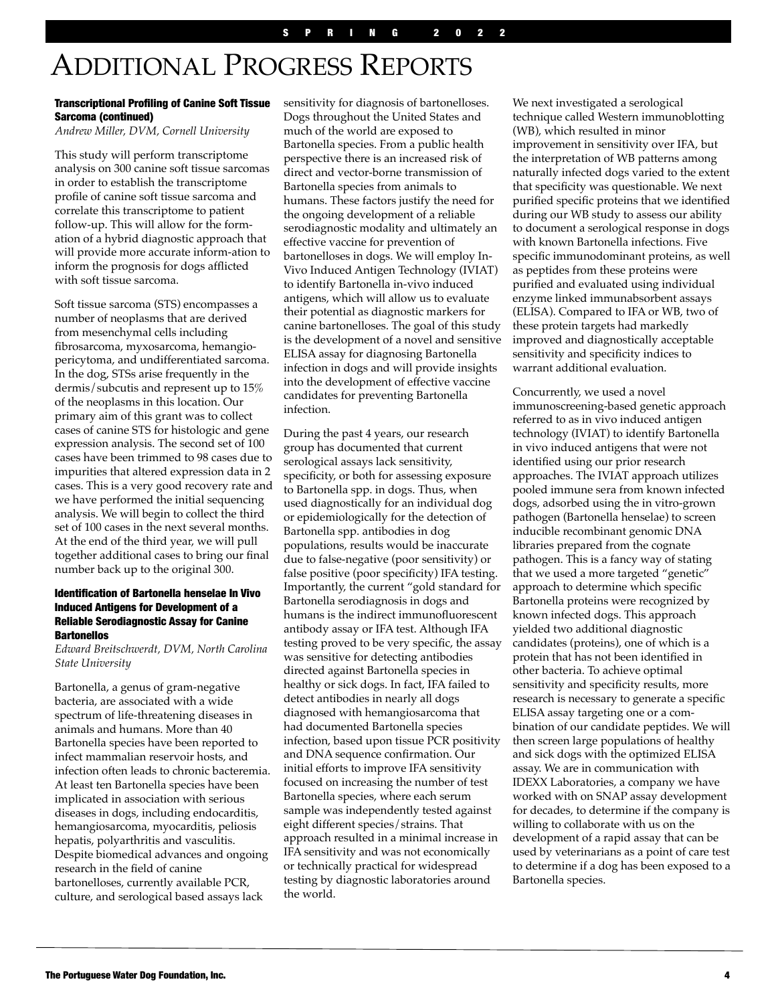# ADDITIONAL PROGRESS REPORTS

#### Transcriptional Profiling of Canine Soft Tissue Sarcoma (continued)

*Andrew Miller, DVM, Cornell University* 

This study will perform transcriptome analysis on 300 canine soft tissue sarcomas in order to establish the transcriptome profile of canine soft tissue sarcoma and correlate this transcriptome to patient follow-up. This will allow for the formation of a hybrid diagnostic approach that will provide more accurate inform-ation to inform the prognosis for dogs afflicted with soft tissue sarcoma.

Soft tissue sarcoma (STS) encompasses a number of neoplasms that are derived from mesenchymal cells including fibrosarcoma, myxosarcoma, hemangiopericytoma, and undifferentiated sarcoma. In the dog, STSs arise frequently in the dermis/subcutis and represent up to 15% of the neoplasms in this location. Our primary aim of this grant was to collect cases of canine STS for histologic and gene expression analysis. The second set of 100 cases have been trimmed to 98 cases due to impurities that altered expression data in 2 cases. This is a very good recovery rate and we have performed the initial sequencing analysis. We will begin to collect the third set of 100 cases in the next several months. At the end of the third year, we will pull together additional cases to bring our final number back up to the original 300.

#### Identification of Bartonella henselae In Vivo Induced Antigens for Development of a Reliable Serodiagnostic Assay for Canine **Bartonellos**

*Edward Breitschwerdt, DVM, North Carolina State University* 

Bartonella, a genus of gram-negative bacteria, are associated with a wide spectrum of life-threatening diseases in animals and humans. More than 40 Bartonella species have been reported to infect mammalian reservoir hosts, and infection often leads to chronic bacteremia. At least ten Bartonella species have been implicated in association with serious diseases in dogs, including endocarditis, hemangiosarcoma, myocarditis, peliosis hepatis, polyarthritis and vasculitis. Despite biomedical advances and ongoing research in the field of canine bartonelloses, currently available PCR, culture, and serological based assays lack

sensitivity for diagnosis of bartonelloses. Dogs throughout the United States and much of the world are exposed to Bartonella species. From a public health perspective there is an increased risk of direct and vector-borne transmission of Bartonella species from animals to humans. These factors justify the need for the ongoing development of a reliable serodiagnostic modality and ultimately an effective vaccine for prevention of bartonelloses in dogs. We will employ In-Vivo Induced Antigen Technology (IVIAT) to identify Bartonella in-vivo induced antigens, which will allow us to evaluate their potential as diagnostic markers for canine bartonelloses. The goal of this study is the development of a novel and sensitive ELISA assay for diagnosing Bartonella infection in dogs and will provide insights into the development of effective vaccine candidates for preventing Bartonella infection.

During the past 4 years, our research group has documented that current serological assays lack sensitivity, specificity, or both for assessing exposure to Bartonella spp. in dogs. Thus, when used diagnostically for an individual dog or epidemiologically for the detection of Bartonella spp. antibodies in dog populations, results would be inaccurate due to false-negative (poor sensitivity) or false positive (poor specificity) IFA testing. Importantly, the current "gold standard for Bartonella serodiagnosis in dogs and humans is the indirect immunofluorescent antibody assay or IFA test. Although IFA testing proved to be very specific, the assay was sensitive for detecting antibodies directed against Bartonella species in healthy or sick dogs. In fact, IFA failed to detect antibodies in nearly all dogs diagnosed with hemangiosarcoma that had documented Bartonella species infection, based upon tissue PCR positivity and DNA sequence confirmation. Our initial efforts to improve IFA sensitivity focused on increasing the number of test Bartonella species, where each serum sample was independently tested against eight different species/strains. That approach resulted in a minimal increase in IFA sensitivity and was not economically or technically practical for widespread testing by diagnostic laboratories around the world.

We next investigated a serological technique called Western immunoblotting (WB), which resulted in minor improvement in sensitivity over IFA, but the interpretation of WB patterns among naturally infected dogs varied to the extent that specificity was questionable. We next purified specific proteins that we identified during our WB study to assess our ability to document a serological response in dogs with known Bartonella infections. Five specific immunodominant proteins, as well as peptides from these proteins were purified and evaluated using individual enzyme linked immunabsorbent assays (ELISA). Compared to IFA or WB, two of these protein targets had markedly improved and diagnostically acceptable sensitivity and specificity indices to warrant additional evaluation.

Concurrently, we used a novel immunoscreening-based genetic approach referred to as in vivo induced antigen technology (IVIAT) to identify Bartonella in vivo induced antigens that were not identified using our prior research approaches. The IVIAT approach utilizes pooled immune sera from known infected dogs, adsorbed using the in vitro-grown pathogen (Bartonella henselae) to screen inducible recombinant genomic DNA libraries prepared from the cognate pathogen. This is a fancy way of stating that we used a more targeted "genetic" approach to determine which specific Bartonella proteins were recognized by known infected dogs. This approach yielded two additional diagnostic candidates (proteins), one of which is a protein that has not been identified in other bacteria. To achieve optimal sensitivity and specificity results, more research is necessary to generate a specific ELISA assay targeting one or a combination of our candidate peptides. We will then screen large populations of healthy and sick dogs with the optimized ELISA assay. We are in communication with IDEXX Laboratories, a company we have worked with on SNAP assay development for decades, to determine if the company is willing to collaborate with us on the development of a rapid assay that can be used by veterinarians as a point of care test to determine if a dog has been exposed to a Bartonella species.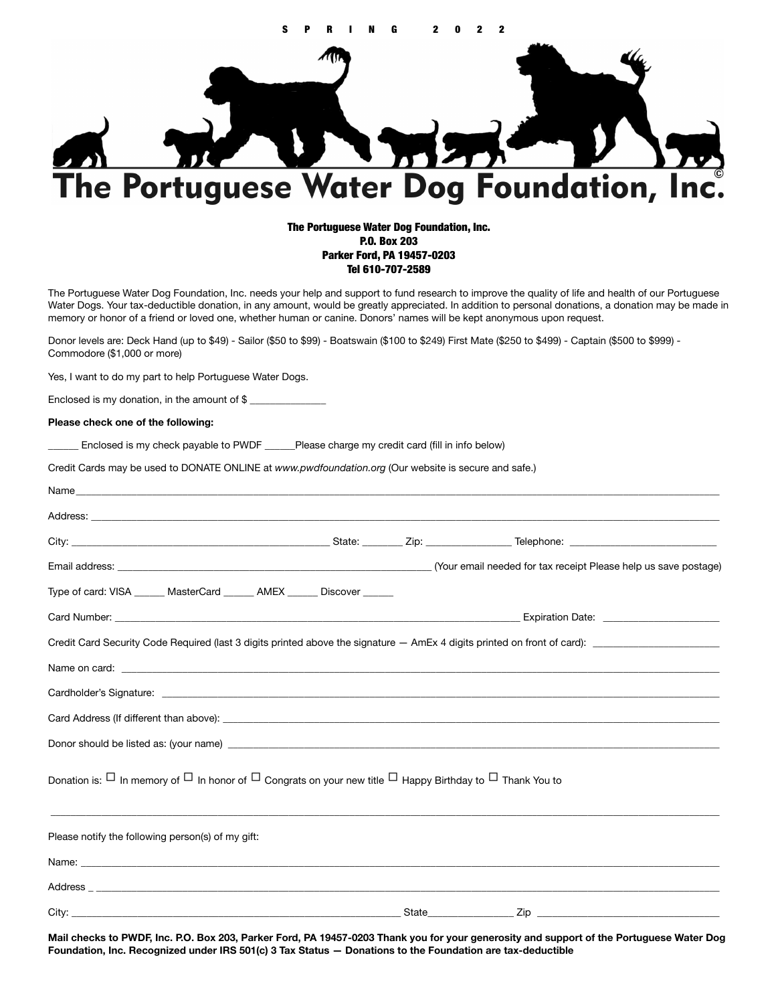

#### The Portuguese Water Dog Foundation, Inc. P.O. Box 203 Parker Ford, PA 19457-0203 Tel 610-707-2589

The Portuguese Water Dog Foundation, Inc. needs your help and support to fund research to improve the quality of life and health of our Portuguese Water Dogs. Your tax-deductible donation, in any amount, would be greatly appreciated. In addition to personal donations, a donation may be made in memory or honor of a friend or loved one, whether human or canine. Donors' names will be kept anonymous upon request.

Donor levels are: Deck Hand (up to \$49) - Sailor (\$50 to \$99) - Boatswain (\$100 to \$249) First Mate (\$250 to \$499) - Captain (\$500 to \$999) - Commodore (\$1,000 or more)

Yes, I want to do my part to help Portuguese Water Dogs.

Enclosed is my donation, in the amount of  $$$ 

#### **Please check one of the following:**

Enclosed is my check payable to PWDF \_\_\_\_\_\_Please charge my credit card (fill in info below)

Credit Cards may be used to DONATE ONLINE at *www.pwdfoundation.org* (Our website is secure and safe.)

| Type of card: VISA ______ MasterCard ______ AMEX _____ Discover _____                                                              |  |  |
|------------------------------------------------------------------------------------------------------------------------------------|--|--|
|                                                                                                                                    |  |  |
| Credit Card Security Code Required (last 3 digits printed above the signature – AmEx 4 digits printed on front of card):           |  |  |
|                                                                                                                                    |  |  |
|                                                                                                                                    |  |  |
|                                                                                                                                    |  |  |
|                                                                                                                                    |  |  |
| Donation is: $\Box$ In memory of $\Box$ In honor of $\Box$ Congrats on your new title $\Box$ Happy Birthday to $\Box$ Thank You to |  |  |
| Please notify the following person(s) of my gift:                                                                                  |  |  |
|                                                                                                                                    |  |  |
|                                                                                                                                    |  |  |
|                                                                                                                                    |  |  |

**Mail checks to PWDF, Inc. P.O. Box 203, Parker Ford, PA 19457-0203 Thank you for your generosity and support of the Portuguese Water Dog Foundation, Inc. Recognized under IRS 501(c) 3 Tax Status — Donations to the Foundation are tax-deductible**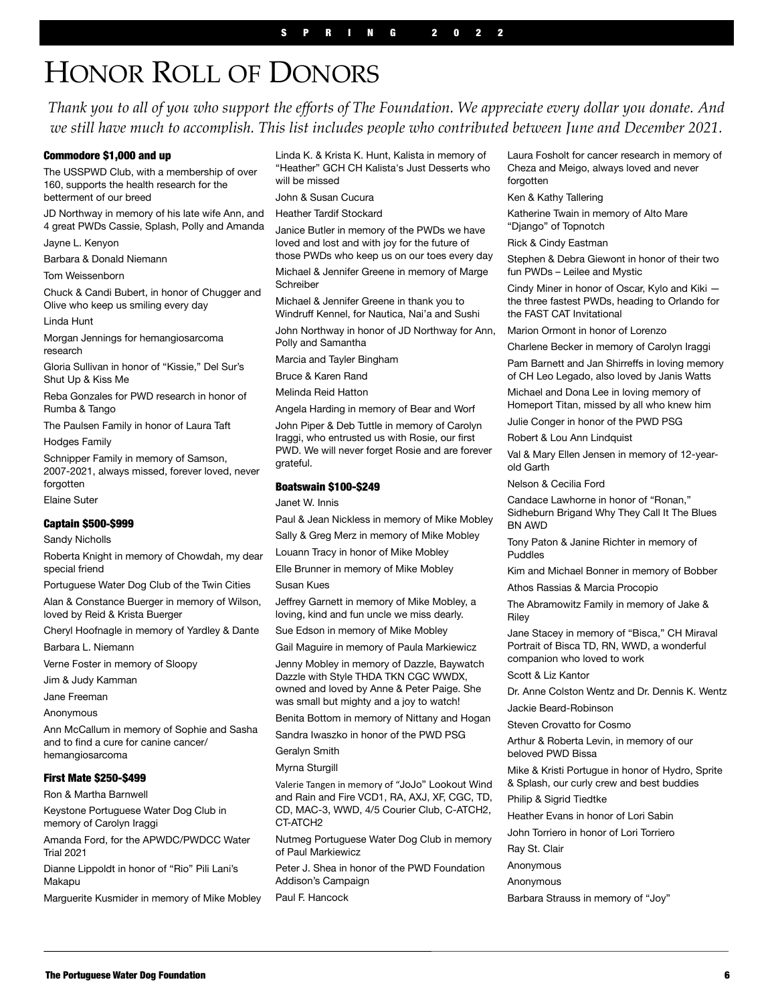# HONOR ROLL OF DONORS

*Thank you to all of you who support the efforts of The Foundation. We appreciate every dollar you donate. And*  we still have much to accomplish. This list includes people who contributed between June and December 2021.

#### Commodore \$1,000 and up

The USSPWD Club, with a membership of over 160, supports the health research for the betterment of our breed

JD Northway in memory of his late wife Ann, and 4 great PWDs Cassie, Splash, Polly and Amanda

Jayne L. Kenyon

Barbara & Donald Niemann

Tom Weissenborn

Chuck & Candi Bubert, in honor of Chugger and Olive who keep us smiling every day

Linda Hunt

Morgan Jennings for hemangiosarcoma research

Gloria Sullivan in honor of "Kissie," Del Sur's Shut Up & Kiss Me

Reba Gonzales for PWD research in honor of Rumba & Tango

The Paulsen Family in honor of Laura Taft

Hodges Family

Schnipper Family in memory of Samson, 2007-2021, always missed, forever loved, never forgotten

Elaine Suter

#### Captain \$500-\$999

Sandy Nicholls

Roberta Knight in memory of Chowdah, my dear special friend

Portuguese Water Dog Club of the Twin Cities

Alan & Constance Buerger in memory of Wilson, loved by Reid & Krista Buerger

Cheryl Hoofnagle in memory of Yardley & Dante

Barbara L. Niemann

Verne Foster in memory of Sloopy

Jim & Judy Kamman

Jane Freeman

Anonymous

Ann McCallum in memory of Sophie and Sasha and to find a cure for canine cancer/ hemangiosarcoma

#### First Mate \$250-\$499

Ron & Martha Barnwell

Keystone Portuguese Water Dog Club in memory of Carolyn Iraggi

Amanda Ford, for the APWDC/PWDCC Water Trial 2021

Dianne Lippoldt in honor of "Rio" Pili Lani's Makapu

Marguerite Kusmider in memory of Mike Mobley

Linda K. & Krista K. Hunt, Kalista in memory of "Heather" GCH CH Kalista's Just Desserts who will be missed

John & Susan Cucura

Heather Tardif Stockard

Janice Butler in memory of the PWDs we have loved and lost and with joy for the future of those PWDs who keep us on our toes every day Michael & Jennifer Greene in memory of Marge Schreiber

Michael & Jennifer Greene in thank you to Windruff Kennel, for Nautica, Nai'a and Sushi

John Northway in honor of JD Northway for Ann, Polly and Samantha

Marcia and Tayler Bingham

Bruce & Karen Rand

Melinda Reid Hatton

Angela Harding in memory of Bear and Worf

John Piper & Deb Tuttle in memory of Carolyn Iraggi, who entrusted us with Rosie, our first PWD. We will never forget Rosie and are forever grateful.

#### Boatswain \$100-\$249

Janet W. Innis

Paul & Jean Nickless in memory of Mike Mobley

Sally & Greg Merz in memory of Mike Mobley Louann Tracy in honor of Mike Mobley

Elle Brunner in memory of Mike Mobley

Susan Kues

Jeffrey Garnett in memory of Mike Mobley, a loving, kind and fun uncle we miss dearly. Sue Edson in memory of Mike Mobley

Gail Maguire in memory of Paula Markiewicz

Jenny Mobley in memory of Dazzle, Baywatch Dazzle with Style THDA TKN CGC WWDX, owned and loved by Anne & Peter Paige. She was small but mighty and a joy to watch!

Benita Bottom in memory of Nittany and Hogan

Sandra Iwaszko in honor of the PWD PSG

Geralyn Smith

Myrna Sturgill

Valerie Tangen in memory of "JoJo" Lookout Wind and Rain and Fire VCD1, RA, AXJ, XF, CGC, TD, CD, MAC-3, WWD, 4/5 Courier Club, C-ATCH2, CT-ATCH2

Nutmeg Portuguese Water Dog Club in memory of Paul Markiewicz

Peter J. Shea in honor of the PWD Foundation Addison's Campaign

Paul F. Hancock

Laura Fosholt for cancer research in memory of Cheza and Meigo, always loved and never forgotten

Ken & Kathy Tallering

Katherine Twain in memory of Alto Mare "Django" of Topnotch

Rick & Cindy Eastman

Stephen & Debra Giewont in honor of their two fun PWDs – Leilee and Mystic

Cindy Miner in honor of Oscar, Kylo and Kiki the three fastest PWDs, heading to Orlando for the FAST CAT Invitational

Marion Ormont in honor of Lorenzo

Charlene Becker in memory of Carolyn Iraggi

Pam Barnett and Jan Shirreffs in loving memory of CH Leo Legado, also loved by Janis Watts

Michael and Dona Lee in loving memory of Homeport Titan, missed by all who knew him

Julie Conger in honor of the PWD PSG

Robert & Lou Ann Lindquist

Val & Mary Ellen Jensen in memory of 12-yearold Garth

Nelson & Cecilia Ford

Candace Lawhorne in honor of "Ronan," Sidheburn Brigand Why They Call It The Blues BN AWD

Tony Paton & Janine Richter in memory of Puddles

Kim and Michael Bonner in memory of Bobber

Athos Rassias & Marcia Procopio

The Abramowitz Family in memory of Jake & Riley

Jane Stacey in memory of "Bisca," CH Miraval Portrait of Bisca TD, RN, WWD, a wonderful companion who loved to work

Scott & Liz Kantor

Dr. Anne Colston Wentz and Dr. Dennis K. Wentz

Jackie Beard-Robinson

Steven Crovatto for Cosmo

Arthur & Roberta Levin, in memory of our beloved PWD Bissa

Mike & Kristi Portugue in honor of Hydro, Sprite & Splash, our curly crew and best buddies

Philip & Sigrid Tiedtke

Heather Evans in honor of Lori Sabin

John Torriero in honor of Lori Torriero

Ray St. Clair

Anonymous

Anonymous

Barbara Strauss in memory of "Joy"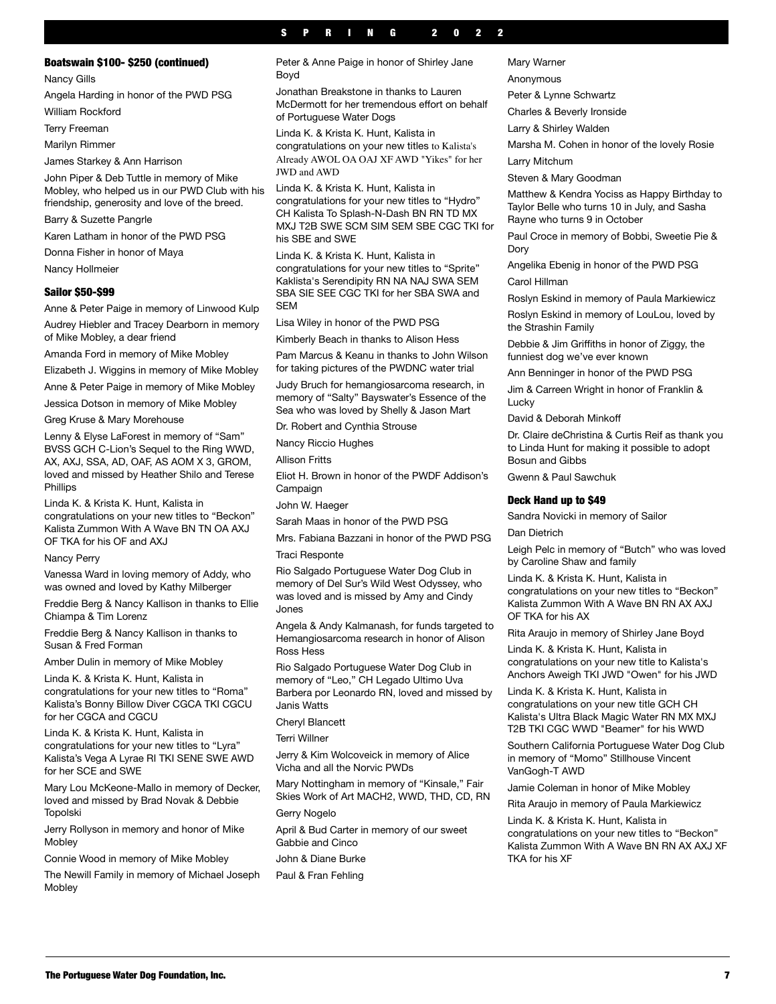#### SPRING 2019 SPRING 2022

#### Boatswain \$100- \$250 (continued)

Nancy Gills

Angela Harding in honor of the PWD PSG

William Rockford

Terry Freeman

Marilyn Rimmer

James Starkey & Ann Harrison

John Piper & Deb Tuttle in memory of Mike Mobley, who helped us in our PWD Club with his friendship, generosity and love of the breed.

Barry & Suzette Pangrle

Karen Latham in honor of the PWD PSG

Donna Fisher in honor of Maya Nancy Hollmeier

#### Sailor \$50-\$99

Anne & Peter Paige in memory of Linwood Kulp Audrey Hiebler and Tracey Dearborn in memory of Mike Mobley, a dear friend

Amanda Ford in memory of Mike Mobley

Elizabeth J. Wiggins in memory of Mike Mobley

Anne & Peter Paige in memory of Mike Mobley

Jessica Dotson in memory of Mike Mobley

Greg Kruse & Mary Morehouse

Lenny & Elyse LaForest in memory of "Sam" BVSS GCH C-Lion's Sequel to the Ring WWD, AX, AXJ, SSA, AD, OAF, AS AOM X 3, GROM, loved and missed by Heather Shilo and Terese Phillips

Linda K. & Krista K. Hunt, Kalista in congratulations on your new titles to "Beckon" Kalista Zummon With A Wave BN TN OA AXJ OF TKA for his OF and AXJ

Nancy Perry

Vanessa Ward in loving memory of Addy, who was owned and loved by Kathy Milberger

Freddie Berg & Nancy Kallison in thanks to Ellie Chiampa & Tim Lorenz

Freddie Berg & Nancy Kallison in thanks to Susan & Fred Forman

Amber Dulin in memory of Mike Mobley

Linda K. & Krista K. Hunt, Kalista in congratulations for your new titles to "Roma" Kalista's Bonny Billow Diver CGCA TKI CGCU for her CGCA and CGCU

Linda K. & Krista K. Hunt, Kalista in congratulations for your new titles to "Lyra" Kalista's Vega A Lyrae RI TKI SENE SWE AWD for her SCE and SWE

Mary Lou McKeone-Mallo in memory of Decker, loved and missed by Brad Novak & Debbie Topolski

Jerry Rollyson in memory and honor of Mike Mobley

Connie Wood in memory of Mike Mobley

The Newill Family in memory of Michael Joseph Mobley

Peter & Anne Paige in honor of Shirley Jane Boyd

Jonathan Breakstone in thanks to Lauren McDermott for her tremendous effort on behalf of Portuguese Water Dogs

Linda K. & Krista K. Hunt, Kalista in congratulations on your new titles to Kalista's Already AWOL OA OAJ XF AWD "Yikes" for her JWD and AWD

Linda K. & Krista K. Hunt, Kalista in congratulations for your new titles to "Hydro" CH Kalista To Splash-N-Dash BN RN TD MX MXJ T2B SWE SCM SIM SEM SBE CGC TKI for his SBE and SWE

Linda K. & Krista K. Hunt, Kalista in congratulations for your new titles to "Sprite" Kaklista's Serendipity RN NA NAJ SWA SEM SBA SIE SEE CGC TKI for her SBA SWA and **SFM** 

Lisa Wiley in honor of the PWD PSG

Kimberly Beach in thanks to Alison Hess

Pam Marcus & Keanu in thanks to John Wilson for taking pictures of the PWDNC water trial

Judy Bruch for hemangiosarcoma research, in memory of "Salty" Bayswater's Essence of the Sea who was loved by Shelly & Jason Mart

Dr. Robert and Cynthia Strouse

Nancy Riccio Hughes

Allison Fritts

Eliot H. Brown in honor of the PWDF Addison's Campaign

John W. Haeger

Sarah Maas in honor of the PWD PSG

Mrs. Fabiana Bazzani in honor of the PWD PSG Traci Responte

Rio Salgado Portuguese Water Dog Club in memory of Del Sur's Wild West Odyssey, who was loved and is missed by Amy and Cindy Jones

Angela & Andy Kalmanash, for funds targeted to Hemangiosarcoma research in honor of Alison Ross Hess

Rio Salgado Portuguese Water Dog Club in memory of "Leo," CH Legado Ultimo Uva Barbera por Leonardo RN, loved and missed by Janis Watts

Cheryl Blancett

Terri Willner

Jerry & Kim Wolcoveick in memory of Alice Vicha and all the Norvic PWDs

Mary Nottingham in memory of "Kinsale," Fair Skies Work of Art MACH2, WWD, THD, CD, RN Gerry Nogelo

April & Bud Carter in memory of our sweet Gabbie and Cinco

John & Diane Burke

Paul & Fran Fehling

Mary Warner

Anonymous

Peter & Lynne Schwartz

Charles & Beverly Ironside

Larry & Shirley Walden

Marsha M. Cohen in honor of the lovely Rosie

Larry Mitchum

Steven & Mary Goodman

Matthew & Kendra Yociss as Happy Birthday to Taylor Belle who turns 10 in July, and Sasha Rayne who turns 9 in October

Paul Croce in memory of Bobbi, Sweetie Pie & Dory

Angelika Ebenig in honor of the PWD PSG Carol Hillman

Roslyn Eskind in memory of Paula Markiewicz

Roslyn Eskind in memory of LouLou, loved by the Strashin Family

Debbie & Jim Griffiths in honor of Ziggy, the funniest dog we've ever known

Ann Benninger in honor of the PWD PSG

Jim & Carreen Wright in honor of Franklin & **Lucky** 

David & Deborah Minkof

Dr. Claire deChristina & Curtis Reif as thank you to Linda Hunt for making it possible to adopt Bosun and Gibbs

Gwenn & Paul Sawchuk

#### Deck Hand up to \$49

Sandra Novicki in memory of Sailor

Dan Dietrich

Leigh Pelc in memory of "Butch" who was loved by Caroline Shaw and family

Linda K. & Krista K. Hunt, Kalista in congratulations on your new titles to "Beckon" Kalista Zummon With A Wave BN RN AX AXJ OF TKA for his AX

Rita Araujo in memory of Shirley Jane Boyd

Linda K. & Krista K. Hunt, Kalista in congratulations on your new title to Kalista's Anchors Aweigh TKI JWD "Owen" for his JWD

Linda K. & Krista K. Hunt, Kalista in congratulations on your new title GCH CH Kalista's Ultra Black Magic Water RN MX MXJ T2B TKI CGC WWD "Beamer" for his WWD

Southern California Portuguese Water Dog Club in memory of "Momo" Stillhouse Vincent VanGogh-T AWD

Jamie Coleman in honor of Mike Mobley

Rita Araujo in memory of Paula Markiewicz

Linda K. & Krista K. Hunt, Kalista in congratulations on your new titles to "Beckon" Kalista Zummon With A Wave BN RN AX AXJ XF TKA for his XF